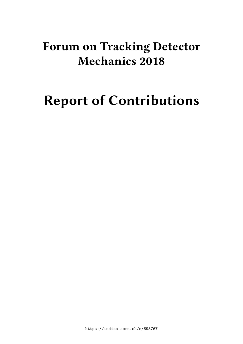# **Forum on Tracking Detector Mechanics 2018**

# **Report of Contributions**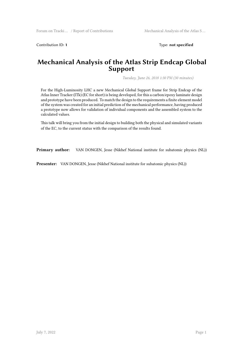Contribution ID: 1 Type: **not specified** 

#### **Mechanical Analysis of the Atlas Strip Endcap Global Support**

*Tuesday, June 26, 2018 1:30 PM (30 minutes)*

For the High-Luminosity LHC a new Mechanical Global Support frame for Strip Endcap of the Atlas Inner Tracker (ITk) (EC for short) is being developed, for this a carbon/epoxy laminate design and prototype have been produced. To match the design to the requirements a finite element model of the system was created for an initial prediction of the mechanical performance, having produced a prototype now allows for validation of individual components and the assembled system to the calculated values.

This talk will bring you from the initial design to building both the physical and simulated variants of the EC, to the current status with the comparison of the results found.

**Primary author:** VAN DONGEN, Jesse (Nikhef National institute for subatomic physics (NL))

**Presenter:** VAN DONGEN, Jesse (Nikhef National institute for subatomic physics (NL))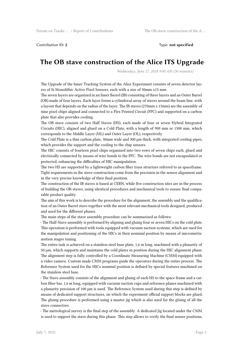Contribution ID: **2** Type: **not specified**

## **The OB stave construction of the Alice ITS Upgrade**

*Wednesday, June 27, 2018 9:00 AM (30 minutes)*

The Upgrade of the Inner Tracking System of the Alice Experiment consists of seven detector layers of Si Monolithic Active Pixel Sensors, each with a size of 30mm x15 mm.

The seven layers are organized in an Inner Barrel (IB) consisting of three layers and an Outer Barrel (OB) made of four layers. Each layer forms a cylindrical array of staves around the beam line, with a layout that depends on the radius of the layer. The IB staves (270mm x 15mm) are the assembly of nine pixel chips aligned and connected to a Flex Printed Circuit (FPC) and supported on a carbon plate that also provides cooling.

The OB stave consists of two Half Staves (HS), each made of four or seven Hybrid Integrated Circuits (HIC), aligned and glued on a Cold Plate, with a length of 900 mm or 1500 mm, which corresponds to the Middle Layer (ML) and Outer Layer (OL), respectively.

The Cold Plate is a thin carbon plate, 30mm wide and 300 μm thick, with integrated cooling pipes, which provides the support and the cooling to the chip sensors.

The HIC consists of fourteen pixel chips organized into two rows of seven chips each, glued and electrically connected by means of wire bonds to the FPC. The wire bonds are not encapsulated or protected, enhancing the difficulties of HIC manipulation.

The two HS are supported by a lightweight carbon fiber truss structure referred to as spaceframe. Tight requirements in the stave construction come from the precision in the sensor alignment and in the very precise knowledge of their final position.

The construction of the IB staves is based at CERN, while five construction sites are in the process of building the OB staves, using identical procedures and mechanical tools to ensure final comparable product quality.

The aim of this work is to describe the procedure for the alignment, the assembly and the qualification of an Outer Barrel stave together with the most relevant mechanical tools designed, produced and used for the different phases.

The main steps of the stave assembly procedure can be summarized as follows:

- The Half-Stave assembly is performed by aligning and gluing four or seven HICs on the cold plate. This operation is performed with tools equipped with vacuum suction systems, which are used for the manipulation and positioning of the HICs in their nominal position by means of micrometric motion stages tuning.

The entire task is achieved on a stainless steel base plate, 1,6 m long, machined with a planarity of 50 µm, which supports and maintains the cold plates in position during the HIC alignment phase. The alignment step is fully controlled by a Coordinate Measuring Machine (CMM) equipped with a video camera. Custom made CMM programs guide the operators during the entire process. The Reference System used for the HICs nominal position is defined by special features machined on the stainless steel base.

- The Stave assembly consists of the alignment and gluing of each HS to the space frame and a carbon fiber bar, 1,6 m long, equipped with vacuum suction cups and reference planes machined with a planarity precision of 100 μm is used. The Reference System used during this step is defined by means of dedicated support structures, on which the experiment official support blocks are glued. The gluing procedure is performed using a master jig which is also used for the gluing of all the stave connectors.

- The metrological survey is the final step of the assembly. A dedicated Jig located under the CMM is used to support the stave during this phase. This step allows to verify the final sensor positions,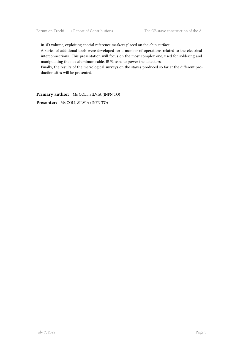in 3D volume, exploiting special reference markers placed on the chip surface.

A series of additional tools were developed for a number of operations related to the electrical interconnections. This presentation will focus on the most complex one, used for soldering and manipulating the flex aluminum cable, BUS, used to power the detectors.

Finally, the results of the metrological surveys on the staves produced so far at the different production sites will be presented.

**Primary author:** Ms COLI, SILVIA (INFN TO)

**Presenter:** Ms COLI, SILVIA (INFN TO)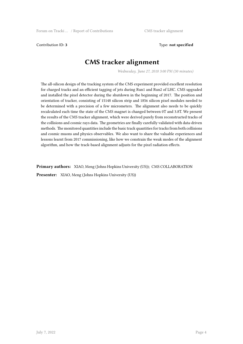Contribution ID: **3** Type: **not specified**

# **CMS tracker alignment**

*Wednesday, June 27, 2018 3:00 PM (30 minutes)*

The all-silicon design of the tracking system of the CMS experiment provided excellent resolution for charged tracks and an efficient tagging of jets during Run1 and Run2 of LHC. CMS upgraded and installed the pixel detector during the shutdown in the beginning of 2017. The position and orientation of tracker, consisting of 15148 silicon strip and 1856 silicon pixel modules needed to be determined with a precision of a few micrometers. The alignment also needs to be quickly recalculated each time the state of the CMS magnet is changed between 0T and 3.8T. We present the results of the CMS tracker alignment, which were derived purely from reconstructed tracks of the collisions and cosmic rays data. The geometries are finally carefully validated with data-driven methods. The monitored quantities include the basic track quantities for tracks from both collisions and cosmic muons and physics observables. We also want to share the valuable experiences and lessons learnt from 2017 commissioning, like how we constrain the weak modes of the alignment algorithm, and how the track-based alignment adjusts for the pixel radiation effects.

**Primary authors:** XIAO, Meng (Johns Hopkins University (US)); CMS COLLABORATION

**Presenter:** XIAO, Meng (Johns Hopkins University (US))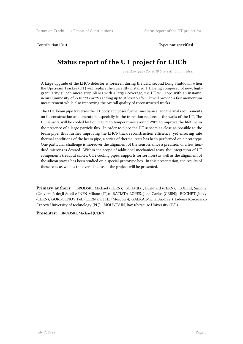Contribution ID: **4** Type: **not specified**

# **Status report of the UT project for LHCb**

*Tuesday, June 26, 2018 5:30 PM (30 minutes)*

A large upgrade of the LHCb detector is foreseen during the LHC second Long Shutdown when the Upstream Tracker (UT) will replace the currently installed TT. Being composed of new, highgranularity silicon micro-strip planes with a larger coverage, the UT will cope with an instanteneous luminosity of  $2x10^{\circ}33$  cm $^{\circ}2/s$  adding up to at least 50 fb-1. It will provide a fast momentum measurement while also improving the overall quality of reconstructed tracks.

The LHC beam pipe traverses the UT body and poses further mechanical and thermal requirements on its construction and operation, especially in the transition regions at the walls of the UT. The UT sensors will be cooled by liquid CO2 to temperatures around -20℃ to improve the lifetime in the presence of a large particle flux. In order to place the UT sensors as close as possible to the beam pipe, thus further improving the LHCb track reconstruction efficiency, yet ensuring safe thermal conditions of the beam pipe, a series of thermal tests has been performed on a prototype. One particular challenge is moreover the alignment of the sensors since a precision of a few hundred microns is desired. Within the scope of additional mechanical tests, the integration of UT components (readout cables, CO2 cooling pipes, supports for services) as well as the alignment of the silicon staves has been studied on a special prototype box. In this presentation, the results of these tests as well as the overall status of the project will be presented.

**Primary authors:** BRODSKI, Michael (CERN); SCHMIDT, Burkhard (CERN); COELLI, Simone (Università degli Studi e INFN Milano (IT)); BATISTA LOPES, Joao Carlos (CERN); ROCHET, Jacky (CERN); GORBOUNOV, Petr (CERN and ITEP(Moscow)); GALKA, Michal Andrzej ( Tadeusz Kosciuszko Cracow University of technology (PL)); MOUNTAIN, Ray (Syracuse University (US))

**Presenter:** BRODSKI, Michael (CERN)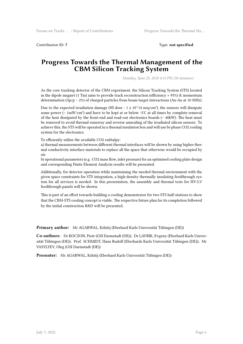Contribution ID: **7** Type: **not specified**

#### **Progress Towards the Thermal Management of the CBM Silicon Tracking System**

*Monday, June 25, 2018 4:15 PM (30 minutes)*

As the core tracking detector of the CBM experiment, the Silicon Tracking System (STS) located in the dipole magnet (1 Tm) aims to provide track reconstruction (efficiency  $\approx$  95%) & momentum determination (Δp/p ∼ 2%) of charged particles from beam-target interactions (Au-Au at 10 MHz).

Due to the expected irradiation damage (NI dose - 1 x  $10<sup>14</sup>$  neq/cm<sup>2</sup>), the sensors will dissipate some power (∼ 1mW/cm²) and have to be kept at or below -5℃ at all times by complete removal of the heat dissipated by the front-end and read-out electronics boards (∼ 40kW). The heat must be removed to avoid thermal runaway and reverse annealing of the irradiated silicon sensors. To achieve this, the STS will be operated in a thermal insulation box and will use bi-phase CO2 cooling system for the electronics.

To efficiently utilise the available CO2 enthalpy:

a) thermal measurements between different thermal interfaces will be shown by using higher thermal conductivity interface materials to replace all the space that otherwise would be occupied by air.

b) operational parameters (e.g. CO2 mass flow, inlet pressure) for an optimised cooling plate design and corresponding Finite Element Analysis results will be presented.

Additionally, for detector operation while maintaining the needed thermal environment with the given space constraints for STS integration, a high-density thermally insulating feedthrough system for all services is needed. In this presentation, the assembly and thermal tests for HV-LV feedthrough panels will be shown.

This is part of an effort towards building a cooling demonstrator for two STS half-stations to show that the CBM-STS cooling concept is viable. The respective future plan for its completion followed by the initial construction R&D will be presented.

**Primary author:** Mr AGARWAL, Kshitij (Eberhard Karls Universität Tübingen (DE))

**Co-authors:** Dr KOCZON, Piotr (GSI Darmstadt (DE)); Dr LAVRIK, Evgeny (Eberhard Karls Universität Tübingen (DE)); Prof. SCHMIDT, Hans Rudolf (Eberhards Karls Universität Tübingen (DE)); Mr VASYLYEV, Oleg (GSI Darmstadt (DE))

**Presenter:** Mr AGARWAL, Kshitij (Eberhard Karls Universität Tübingen (DE))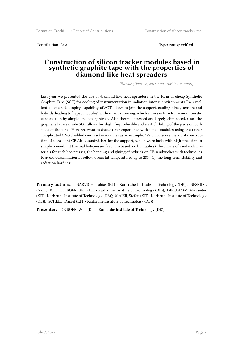Contribution ID: **8** Type: **not specified**

#### **Construction of silicon tracker modules based in synthetic graphite tape with the properties of diamond-like heat spreaders**

*Tuesday, June 26, 2018 11:00 AM (30 minutes)*

Last year we presented the use of diamond-like heat spreaders in the form of cheap Synthetic Graphite Tape (SGT) for cooling of instrumentation in radiation intense environments.The excellent double-sided taping capability of SGT allows to join the support, cooling pipes, sensors and hybrids, leading to "taped modules" without any screwing, which allows in turn for semi-automatic construction by simple one-axe gantries. Also thermal stressed are largely eliminated, since the graphene layers inside SGT allows for slight (reproducible and elastic) sliding of the parts on both sides of the tape. Here we want to discuss our experience with taped modules using the rather complicated CMS double-layer tracker modules as an example. We will discuss the art of construction of ultra-light CF-Airex sandwiches for the support, which were built with high precision in simple home-built thermal hot-presses (vacuum based, no hydraulics), the choice of sandwich materials for such hot-presses, the bending and gluing of hybrids on CF-sandwiches with techniques to avoid delamination in reflow ovens (at temperatures up to 285  $^0$ C), the long-term stability and radiation hardness.

**Primary authors:** BARVICH, Tobias (KIT - Karlsruhe Institute of Technology (DE)); BESKIDT, Conny (KIT); DE BOER, Wim (KIT - Karlsruhe Institute of Technology (DE)); DIERLAMM, Alexander (KIT - Karlsruhe Institute of Technology (DE)); MAIER, Stefan (KIT - Karlsruhe Institute of Technology (DE)); SCHELL, Daniel (KIT - Karlsruhe Institute of Technology (DE))

**Presenter:** DE BOER, Wim (KIT - Karlsruhe Institute of Technology (DE))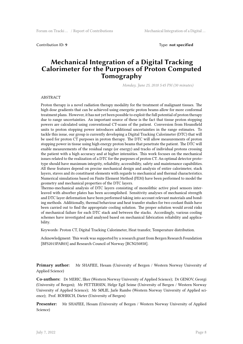Contribution ID: **9** Type: **not specified**

### **Mechanical Integration of a Digital Tracking Calorimeter for the Purposes of Proton Computed Tomography**

*Monday, June 25, 2018 5:45 PM (30 minutes)*

#### ABSTRACT

Proton therapy is a novel radiation therapy modality for the treatment of malignant tissues. The high dose gradients that can be achieved using energetic proton beams allow for more conformal treatment plans. However, it has not yet been possible to exploit the full potential of proton therapy due to range uncertainties. An important source of these is the fact that tissue proton stopping powers are calculated using conventional CT-scans of the patient. Conversion from Hounsfield units to proton stopping power introduces additional uncertainties in the range estimates. To tackle this issue, our group is currently developing a Digital Tracking Calorimeter (DTC) that will be used for proton CT purposes in proton therapy. The DTC will allow measurements of proton stopping power in tissue using high energy proton beams that penetrate the patient. The DTC will enable measurements of the residual range (or energy) and tracks of individual protons crossing the patient with a high accuracy and at higher intensities. This work focuses on the mechanical issues related to the realization of a DTC for the purposes of proton CT. An optimal detector prototype should have maximum integrity, reliability, accessibility, safety and maintenance capabilities. All these features depend on precise mechanical design and analysis of entire calorimeter, stack layers, staves and its constituent elements with regards to mechanical and thermal characteristics. Numerical simulations based on Finite Element Method (FEM) have been performed to model the geometry and mechanical properties of the DTC layers.

Thermo-mechanical analysis of DTC layers consisting of monolithic active pixel sensors interleaved with absorber plates has been accomplished. Sensitivity analyses of mechanical strength and DTC layer deformation have been performed taking into account relevant materials and bonding methods. Additionally, thermal behaviour and heat transfer studies for two coolant fluids have been carried out to find the appropriate cooling solution. The proper solution would avoid risks of mechanical failure for each DTC stack and between the stacks. Accordingly, various cooling schemes have investigated and analysed based on mechanical fabrication reliability and applicability.

Keywords: Proton CT, Digital Tracking Calorimeter, Heat transfer, Temperature distribution.

Acknowledgment: This work was supported by a research grant from Bergen Research Foundation [BFS2015PAR03] and Research Council of Norway [RCN250858].

**Primary author:** Mr SHAFIEE, Hesam (University of Bergen / Western Norway University of Applied Science)

**Co-authors:** Dr MERIC, Ilker (Western Norway University of Applied Science); Dr GENOV, Georgi (University of Bergen); Mr PETTERSEN, Helge Egil Seime (University of Bergen / Western Norway University of Applied Science); Mr SØLIE, Jarle Rambo (Western Norway University of Applied science); Prof. RÖHRICH, Dieter (University of Bergen)

**Presenter:** Mr SHAFIEE, Hesam (University of Bergen / Western Norway University of Applied Science)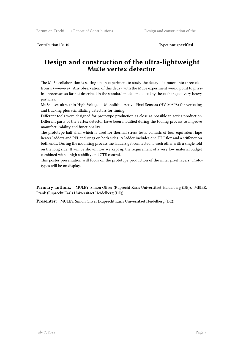Contribution ID: 10 **Type:** not specified

#### **Design and construction of the ultra-lightweight Mu3e vertex detector**

The Mu3e collaboration is setting up an experiment to study the decay of a muon into three electrons  $\mu \rightarrow$ e+e-e+. Any observation of this decay with the Mu3e experiment would point to physical processes so far not described in the standard model, mediated by the exchange of very heavy particles.

Mu3e uses ultra-thin High Voltage – Monolithic Active Pixel Sensors (HV-MAPS) for vertexing and tracking plus scintillating detectors for timing.

Different tools were designed for prototype production as close as possible to series production. Different parts of the vertex detector have been modified during the tooling process to improve manufacturability and functionality.

The prototype half shell which is used for thermal stress tests, consists of four equivalent tape heater ladders and PEI-end rings on both sides. A ladder includes one HDI-flex and a stiffener on both ends. During the mounting process the ladders get connected to each other with a single fold on the long side. It will be shown how we kept up the requirement of a very low material budget combined with a high stability and CTE control.

This poster presentation will focus on the prototype production of the inner pixel layers. Prototypes will be on display.

**Primary authors:** MULEY, Simon Oliver (Ruprecht Karls Universitaet Heidelberg (DE)); MEIER, Frank (Ruprecht Karls Universitaet Heidelberg (DE))

**Presenter:** MULEY, Simon Oliver (Ruprecht Karls Universitaet Heidelberg (DE))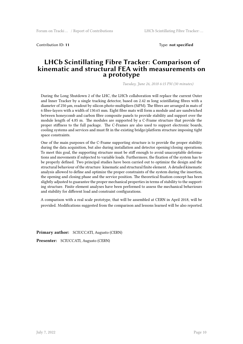Contribution ID: **11** Type: **not specified**

#### **LHCb Scintillating Fibre Tracker: Comparison of kinematic and structural FEA with measurements on a prototype**

*Tuesday, June 26, 2018 6:15 PM (30 minutes)*

During the Long Shutdown 2 of the LHC, the LHCb collaboration will replace the current Outer and Inner Tracker by a single tracking detector, based on 2.42 m long scintillating fibres with a diameter of 250 µm, readout by silicon photo-multipliers (SiPM). The fibres are arranged in mats of 6 fibre-layers with a width of 130.65 mm. Eight fibre mats will form a module and are sandwiched between honeycomb and carbon fibre composite panels to provide stability and support over the module length of 4.85 m. The modules are supported by a C-Frame structure that provide the proper stiffness to the full package. The C-Frames are also used to support electronic boards, cooling systems and services and must fit in the existing bridge/platform structure imposing tight space constraints.

One of the main purposes of the C-Frame supporting structure is to provide the proper stability during the data acquisition, but also during installation and detector opening/closing operations. To meet this goal, the supporting structure must be stiff enough to avoid unacceptable deformations and movements if subjected to variable loads. Furthermore, the fixation of the system has to be properly defined. Two principal studies have been carried out to optimize the design and the structural behaviour of the structure: kinematic and structural finite element. A detailed kinematic analysis allowed to define and optimize the proper constraints of the system during the insertion, the opening and closing phase and the service position. The theoretical fixation concept has been slightly adjusted to guarantee the proper mechanical properties in terms of stability to the supporting structure. Finite element analyses have been performed to assess the mechanical behaviours and stability for different load and constraint configurations.

A comparison with a real scale prototype, that will be assembled at CERN in April 2018, will be provided. Modifications suggested from the comparison and lessons learned will be also reported.

**Primary author:** SCIUCCATI, Augusto (CERN)

**Presenter:** SCIUCCATI, Augusto (CERN)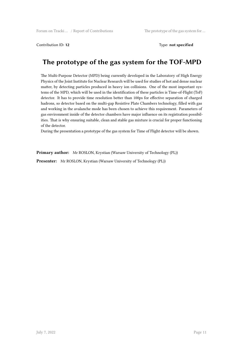Contribution ID: 12 Type: **not specified** 

# **The prototype of the gas system for the TOF-MPD**

The Multi-Purpose Detector (MPD) being currently developed in the Laboratory of High Energy Physics of the Joint Institute for Nuclear Research will be used for studies of hot and dense nuclear matter, by detecting particles produced in heavy ion collisions. One of the most important systems of the MPD, which will be used in the identification of these particles is Time-of-Flight (ToF) detector. It has to provide time resolution better than 100ps for effective separation of charged hadrons, so detector based on the multi-gap Resistive Plate Chambers technology, filled with gas and working in the avalanche mode has been chosen to achieve this requirement. Parameters of gas environment inside of the detector chambers have major influence on its registration possibilities. That is why ensuring suitable, clean and stable gas mixture is crucial for proper functioning of the detector.

During the presentation a prototype of the gas system for Time of Flight detector will be shown.

**Primary author:** Mr ROSLON, Krystian (Warsaw University of Technology (PL))

**Presenter:** Mr ROSLON, Krystian (Warsaw University of Technology (PL))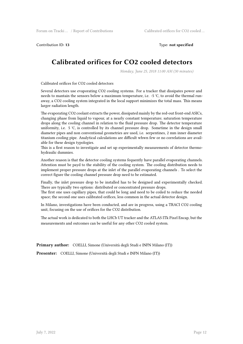Contribution ID: **13** Type: **not specified**

# **Calibrated orifices for CO2 cooled detectors**

*Monday, June 25, 2018 11:00 AM (30 minutes)*

Calibrated orifices for CO2 cooled detectors

Several detectors use evaporating CO2 cooling systems. For a tracker that dissipates power and needs to mantain the sensors below a maximum temperature, i.e. -5 ℃, to avoid the thermal runaway, a CO2 cooling system integrated in the local support minimizes the total mass. This means larger radiation length.

The evaporating CO2 coolant extracts the power, dissipated mainly by the red-out front-end ASICs, changing phase from liquid to vapour, at a nearly constant temperature; saturation temperature drops along the cooling channel in relation to the fluid pressure drop. The detector temperature uniformity, i.e. 5 ℃, is controlled by its channel pressure drop. Sometime in the design small diameter pipes and non conventional geometries are used, i.e. serpentines, 2 mm inner diameter titanium cooling pipe. Analytical calculations are difficult whwn few or no correlations are available for these design typologies.

This is a first reason to investigate and set up experimentally measurements of detector thermohydraulic dummies.

Another reason is that the detector cooling systems fequently have parallel evaporating channels. Attention must be payd to the stability of the cooling system. The cooling distribution needs to implement proper pressure drops at the inlet of the parallel evaporating channels . To select the correct figure the cooling channel pressure drop need to be estimated.

Finally, the inlet pressure drop to be installed has to be designed and experimentally checked. There are typically two options: distributed or concentrated pressure drops.

The first one uses capillary pipes, that could be long and need to be coiled to reduce the needed space; the second one uses calibrated orifices, less common in the actual detector design.

In Milano, investigations have been conducted, and are in progress, using a TRACI CO2 cooling unit, focusing on the use of orifices for the CO2 distribution.

The actual work is dedicated to both the LHCb UT tracker and the ATLAS ITk Pixel Encap, but the measurements and outcomes can be useful for any other CO2 cooled system.

**Primary author:** COELLI, Simone (Università degli Studi e INFN Milano (IT))

**Presenter:** COELLI, Simone (Università degli Studi e INFN Milano (IT))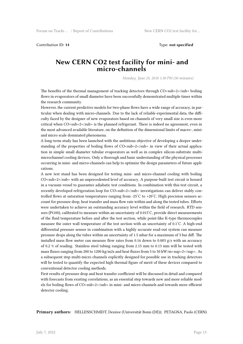Contribution ID: **14** Type: **not specified**

#### **New CERN CO2 test facility for mini- and micro-channels**

*Monday, June 25, 2018 1:30 PM (30 minutes)*

The benefits of the thermal management of tracking detectors through CO<sub>2</sub> sub- $2$ /sub-boiling flows in evaporators of small diameter have been successfully demonstrated multiple times within the research community.

However, the current predictive models for two-phase flows have a wide range of accuracy, in particular when dealing with micro-channels. Due to the lack of reliable experimental data, the difficulty faced by the designer of new evaporators based on channels of very small size is even more critical when CO<sub>2</sub> is the planned refrigerant. There is indeed no agreement, even in the most advanced available literature, on the definition of the dimensional limits of macro-, miniand micro scale dominated phenomena.

A long-term study has been launched with the ambitious objective of developing a deeper understanding of the properties of boiling flows of CO<sub>1</sub> sub- $2$ /<sub>2</sub> in view of their actual application in simple small diameter tubular evaporators as well as in complex silicon-substrate multimicrochannel cooling devices. Only a thorough and basic understanding of the physical processes occurring in mini- and micro-channels can help to optimize the design parameters of future applications.

A new test stand has been designed for testing mini- and micro-channel cooling with boiling CO<sub>2</sub> with an unprecedented level of accuracy. A purpose-built test circuit is housed in a vacuum vessel to guarantee adiabatic test conditions. In combination with this test circuit, a recently developed refrigeration loop for CO<sub>2</sub> investigations can deliver stably controlled flows at saturation temperatures ranging from -25°C to +20°C. High precision sensors account for pressure drop, heat transfer and mass flow rate within and along the tested tubes. Efforts were undertaken to achieve an outstanding accuracy level within the field of research. RTD sensors (Pt100), calibrated to measure within an uncertainty of 0.015 ̊C, provide direct measurements of the fluid temperature before and after the test section, while point-like K-type thermocouples measure the outer wall temperature of the test section with an uncertainty of 0.1 ̊C. A high-end differential pressure sensor in combination with a highly accurate read-out system can measure pressure drops along the tubes within an uncertainty of 1.5 mbar for a maximum of 3 bar diff. The installed mass flow meter can measure flow rates from 0.16 down to 0.003  $g/s$  with an accuracy of 0.2 % of reading. Stainless steel tubing ranging from 2.15 mm to 0.13 mm will be tested with mass fluxes ranging from 200 to 1200 kg/m2s and heat fluxes from 5 to 50 kW/m<sup>2</sup>. As a subsequent step multi-micro channels explicitly designed for possible use in tracking detectors will be tested to quantify the expected high thermal figure of merit of these devices compared to conventional detector cooling methods.

First results of pressure drop and heat transfer coefficient will be discussed in detail and compared with forecasts from existing correlations, as an essential step towards new and more reliable models for boiling flows of CO<sub>2</sub> in mini- and micro-channels and towards more efficient detector cooling.

**Primary authors:** HELLENSCHMIDT, Desiree (Universität Bonn (DE)); PETAGNA, Paolo (CERN)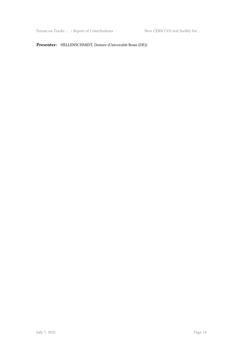Forum on Tracki … / Report of Contributions New CERN CO2 test facility for …

#### **Presenter:** HELLENSCHMIDT, Desiree (Universität Bonn (DE))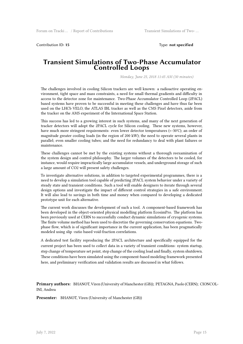Contribution ID: **15** Type: **not specified**

#### **Transient Simulations of Two-Phase Accumulator Controlled Loops**

*Monday, June 25, 2018 11:45 AM (30 minutes)*

The challenges involved in cooling Silicon trackers are well known: a radioactive operating environment, tight space and mass constraints, a need for small thermal gradients and difficulty in access to the detector zone for maintenance. Two-Phase Accumulator Controlled Loop (2PACL) based systems have proven to be successful in meeting these challenges and have thus far been used on the LHCb VELO, the ATLAS IBL tracker as well as the CMS Pixel detectors, aside from the tracker on the AMS experiment of the International Space Station.

This success has led to a growing interest in such systems, and many of the next generation of tracker detectors will adopt the 2PACL cycle for Silicon cooling. These new systems, however, have much more stringent requirements: even lower detector temperatures (<-30℃); an order of magnitude greater cooling loads (in the region of 200 kW); the need to operate several plants in parallel; even smaller cooling tubes; and the need for redundancy to deal with plant failures or maintenance.

These challenges cannot be met by the existing systems without a thorough reexamination of the system design and control philosophy. The larger volumes of the detectors to be cooled, for instance, would require impractically large accumulator vessels, and underground storage of such a large amount of CO2 will present safety challenges.

To investigate alternative solutions, in addition to targeted experimental programmes, there is a need to develop a simulation tool capable of predicting 2PACL system behavior under a variety of steady state and transient conditions. Such a tool will enable designers to iterate through several design options and investigate the impact of different control strategies in a safe environment. It will also lead to savings in both time and money when compared to developing a dedicated prototype unit for each alternative.

The current work discusses the development of such a tool. A component-based framework has been developed in the object-oriented physical modelling platform EcosimPro. The platform has been previously used at CERN to successfully conduct dynamic simulations of cryogenic systems. The finite volume method has been used to discretize the governing conservation equations. Twophase flow, which is of significant importance in the current application, has been pragmatically modeled using slip -ratio based void-fraction correlations.

A dedicated test facility reproducing the 2PACL architecture and specifically equipped for the current project has been used to collect data in a variety of transient conditions: system startup, step change of temperature set point, step change of the cooling load and finally, system shutdown. These conditions have been simulated using the component-based modeling framework presented here, and preliminary verification and validation results are discussed in what follows.

**Primary authors:** BHANOT, Viren (University of Manchester (GB)); PETAGNA, Paolo (CERN); CIONCOL-INI, Andrea

**Presenter:** BHANOT, Viren (University of Manchester (GB))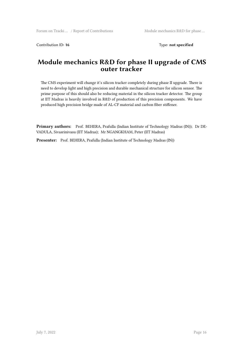Contribution ID: 16 Type: not specified

### **Module mechanics R&D for phase II upgrade of CMS outer tracker**

The CMS experiment will change it's silicon tracker completely during phase II upgrade. There is need to develop light and high precision and durable mechanical structure for silicon sensor. The prime purpose of this should also be reducing material in the silicon tracker detector. The group at IIT Madras is heavily involved in R&D of production of this precision components. We have produced high precision bridge made of AL-CF material and carbon fiber stiffener.

**Primary authors:** Prof. BEHERA, Prafulla (Indian Institute of Technology Madras (IN)); Dr DE-VADULA, Sivasrinivasu (IIT Madras); Mr NGANGKHAM, Peter (IIT Madras)

**Presenter:** Prof. BEHERA, Prafulla (Indian Institute of Technology Madras (IN))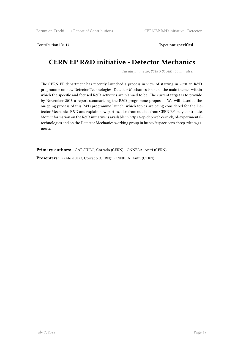Contribution ID: **17** Type: **not specified**

# **CERN EP R&D initiative - Detector Mechanics**

*Tuesday, June 26, 2018 9:00 AM (30 minutes)*

The CERN EP department has recently launched a process in view of starting in 2020 an R&D programme on new Detector Technologies. Detector Mechanics is one of the main themes within which the specific and focused R&D activities are planned to be. The current target is to provide by November 2018 a report summarizing the R&D programme proposal. We will describe the on-going process of this R&D programme launch, which topics are being considered for the Detector Mechanics R&D and explain how parties, also from outside from CERN EP, may contribute. More information on the R&D initiative is available in https://ep-dep.web.cern.ch/rd-experimentaltechnologies and on the Detector Mechanics working group in https://espace.cern.ch/ep-rdet-wg4 mech.

**Primary authors:** GARGIULO, Corrado (CERN); ONNELA, Antti (CERN) **Presenters:** GARGIULO, Corrado (CERN); ONNELA, Antti (CERN)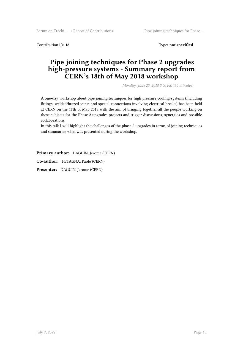Contribution ID: **18** Type: **not specified**

### **Pipe joining techniques for Phase 2 upgrades high-pressure systems - Summary report from CERN's 18th of May 2018 workshop**

*Monday, June 25, 2018 3:00 PM (30 minutes)*

A one-day workshop about pipe joining techniques for high pressure cooling systems (including fittings, welded/brazed joints and special connections involving electrical breaks) has been held at CERN on the 18th of May 2018 with the aim of bringing together all the people working on these subjects for the Phase 2 upgrades projects and trigger discussions, synergies and possible collaborations.

In this talk I will highlight the challenges of the phase 2 upgrades in terms of joining techniques and summarize what was presented during the workshop.

**Primary author:** DAGUIN, Jerome (CERN)

**Co-author:** PETAGNA, Paolo (CERN)

**Presenter:** DAGUIN, Jerome (CERN)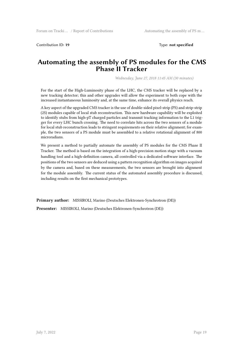Contribution ID: **19** Type: **not specified**

#### **Automating the assembly of PS modules for the CMS Phase II Tracker**

*Wednesday, June 27, 2018 11:45 AM (30 minutes)*

For the start of the High-Luminosity phase of the LHC, the CMS tracker will be replaced by a new tracking detector; this and other upgrades will allow the experiment to both cope with the increased instantaneous luminosity and, at the same time, enhance its overall physics reach.

A key aspect of the upgraded CMS tracker is the use of double-sided pixel-strip (PS) and strip-strip (2S) modules capable of local stub reconstruction. This new hardware capability will be exploited to identify stubs from high-pT charged particles and transmit tracking information to the L1 trigger for every LHC bunch crossing. The need to correlate hits across the two sensors of a module for local stub reconstruction leads to stringent requirements on their relative alignment; for example, the two sensors of a PS module must be assembled to a relative rotational alignment of 800 microradians.

We present a method to partially automate the assembly of PS modules for the CMS Phase II Tracker. The method is based on the integration of a high-precision motion stage with a vacuum handling tool and a high-definition camera, all controlled via a dedicated software interface. The positions of the two sensors are deduced using a pattern recognition algorithm on images acquired by the camera and, based on these measurements, the two sensors are brought into alignment for the module assembly. The current status of the automated assembly procedure is discussed, including results on the first mechanical prototypes.

**Primary author:** MISSIROLI, Marino (Deutsches Elektronen-Synchrotron (DE))

**Presenter:** MISSIROLI, Marino (Deutsches Elektronen-Synchrotron (DE))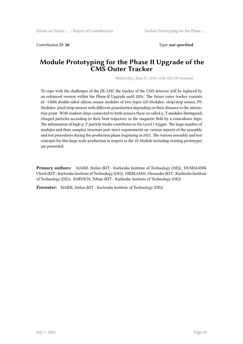Contribution ID: **20** Type: **not specified**

#### **Module Prototyping for the Phase II Upgrade of the CMS Outer Tracker**

*Wednesday, June 27, 2018 11:00 AM (30 minutes)*

To cope with the challenges of the HL-LHC the tracker of the CMS detector will be replaced by an enhanced version within the Phase-II Upgrade until 2026. The future outer tracker consists of ~13000 double-sided silicon sensor modules of two types (2S-Modules: strip/strip sensor, PS-Modules: pixel/strip sensor) with different granularities depending on their distance to the interaction point. With readout chips connected to both sensors these so called p\_T-modules distinguish charged particles according to their bent trajectory in the magnetic field by a coincidence logic. The information of high-p\_T particle tracks contributes to the Level 1 trigger. The large number of modules and their complex structure puts strict requirements on various aspects of the assembly and test procedures during the production phase beginning in 2021. The various assembly and test concepts for this large scale production in respect to the 2S-Module including existing prototypes are presented.

**Primary authors:** MAIER, Stefan (KIT - Karlsruhe Institute of Technology (DE)); HUSEMANN, Ulrich (KIT - Karlsruhe Institute of Technology (DE)); DIERLAMM, Alexander (KIT - Karlsruhe Institute of Technology (DE)); BARVICH, Tobias (KIT - Karlsruhe Institute of Technology (DE))

**Presenter:** MAIER, Stefan (KIT - Karlsruhe Institute of Technology (DE))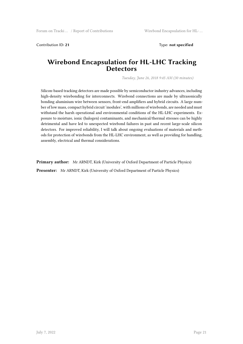Contribution ID: **21** Type: **not specified**

#### **Wirebond Encapsulation for HL-LHC Tracking Detectors**

*Tuesday, June 26, 2018 9:45 AM (30 minutes)*

Silicon-based tracking detectors are made possible by semiconductor industry advances, including high-density wirebonding for interconnects. Wirebond connections are made by ultrasonically bonding aluminium wire between sensors, front-end amplifiers and hybrid circuits. A large number of low mass, compact hybrid circuit 'modules', with millions of wirebonds, are needed and must withstand the harsh operational and environmental conditions of the HL-LHC experiments. Exposure to moisture, ionic (halogen) contaminants, and mechanical/thermal stresses can be highly detrimental and have led to unexpected wirebond failures in past and recent large-scale silicon detectors. For improved reliability, I will talk about ongoing evaluations of materials and methods for protection of wirebonds from the HL-LHC environment, as well as providing for handling, assembly, electrical and thermal considerations.

**Primary author:** Mr ARNDT, Kirk (University of Oxford Department of Particle Physics) **Presenter:** Mr ARNDT, Kirk (University of Oxford Department of Particle Physics)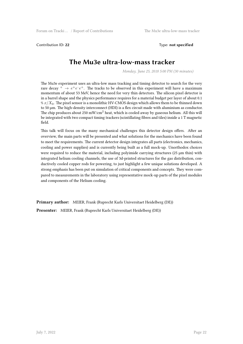Contribution ID: **22** Type: **not specified**

# **The Mu3e ultra-low-mass tracker**

*Monday, June 25, 2018 5:00 PM (30 minutes)*

The Mu3e experiment uses an ultra-low mass tracking and timing detector to search for the very rare decay  $^+$   $\rightarrow$   $e^+e^-e^+$ . The tracks to be observed in this experiment will have a maximum momentum of about 53 MeV, hence the need for very thin detectors. The silicon pixel detector is in a barrel shape and the physics performance requires for a material budget per layer of about 0.1 % *x*/*X*0. The pixel sensor is a monolithic HV-CMOS design which allows them to be thinned down to 50 µm. The high-density interconnect (HDI) is a flex circuit made with aluminium as conductor. The chip produces about 250 mW/cm<sup>2</sup> heat, which is cooled away by gaseous helium. All this will be integrated with two compact timing trackers (scintillating fibres and tiles) inside a 1 T magnetic field.

This talk will focus on the many mechanical challenges this detector design offers. After an overview, the main parts will be presented and what solutions for the mechanics have been found to meet the requirements. The current detector design integrates all parts (electronics, mechanics, cooling and power supplies) and is currently being built as a full mock-up. Unorthodox choices were required to reduce the material, including polyimide carrying structures ( $25 \mu m$  thin) with integrated helium cooling channels, the use of 3d-printed structures for the gas distribution, conductively cooled copper rods for powering, to just highlight a few unique solutions developed. A strong emphasis has been put on simulation of critical components and concepts. They were compared to measurements in the laboratory using representative mock-up parts of the pixel modules and components of the Helium cooling.

**Primary author:** MEIER, Frank (Ruprecht Karls Universitaet Heidelberg (DE)) **Presenter:** MEIER, Frank (Ruprecht Karls Universitaet Heidelberg (DE))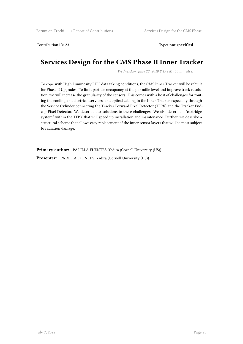Contribution ID: **23** Type: **not specified**

# **Services Design for the CMS Phase II Inner Tracker**

*Wednesday, June 27, 2018 2:15 PM (30 minutes)*

To cope with High Luminosity LHC data taking conditions, the CMS Inner Tracker will be rebuilt for Phase II Upgrades. To limit particle occupancy at the per mille level and improve track resolution, we will increase the granularity of the sensors. This comes with a host of challenges for routing the cooling and electrical services, and optical cabling in the Inner Tracker, especially through the Service Cylinder connecting the Tracker Forward Pixel Detector (TFPX) and the Tracker Endcap Pixel Detector. We describe our solutions to these challenges. We also describe a "cartridge system" within the TFPX that will speed up installation and maintenance. Further, we describe a structural scheme that allows easy replacement of the inner sensor layers that will be most subject to radiation damage.

Primary author: PADILLA FUENTES, Yadira (Cornell University (US))

**Presenter:** PADILLA FUENTES, Yadira (Cornell University (US))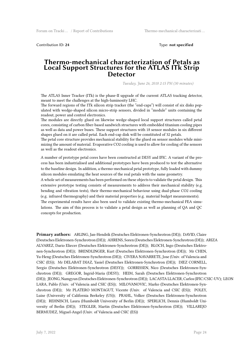Contribution ID: **24** Type: **not specified**

#### **Thermo-mechanical characterization of Petals as Local Support Structures for the ATLAS ITk Strip Detector**

*Tuesday, June 26, 2018 2:15 PM (30 minutes)*

The ATLAS Inner Tracker (ITk) is the phase-II upgrade of the current ATLAS tracking detector, meant to meet the challenges at the high-luminosity LHC.

The forward regions of the ITk silicon strip tracker (the "end-caps") will consist of six disks populated with wedge-shaped silicon micro-strip sensors, divided in "module" units containing the readout, power and control electronics.

The modules are directly glued on likewise wedge-shaped local support structures called petal cores, consisting of carbon fiber-based sandwich structures with embedded titanium cooling pipes as well as data and power buses. These support structures with 18 sensor modules in six different shapes glued on it are called petal. Each end-cap disk will be constituted of 32 petals.

The petal core structure provides mechanical stability for the glued on sensor modules while minimizing the amount of material. Evaporative CO2 cooling is used to allow for cooling of the sensors as well as the readout electronics.

A number of prototype petal cores have been constructed at DESY and IFIC. A variant of the process has been industrialised and additional prototypes have been produced to test the alternative to the baseline design. In addition, a thermo-mechanical petal prototype, fully loaded with dummy silicon modules emulating the heat sources of the real petals with the same geometry.

A whole set of measurements has been performed on these objects to validate the petal design. This extensive prototype testing consists of measurements to address their mechanical stability (e.g. bending and vibration tests), their thermo-mechanical behaviour using dual-phase CO2 cooling (e.g. infrared thermography) and their material properties (e.g. material budget measurements). The experimental results have also been used to validate existing thermo-mechanical FEA simulations. The aim of this process is to validate a petal design as well as planning of QA and QC concepts for production.

**Primary authors:** ARLING, Jan-Hendrik (Deutsches Elektronen-Synchrotron (DE)); DAVID, Claire (Deutsches Elektronen-Synchrotron (DE)); AHRENS, Soren (Deutsches Elektronen-Synchrotron (DE)); ARIZA ALVAREZ, Dario Eliecer (Deutsches Elektronen-Synchrotron (DE)); BLOCH, Ingo (Deutsches Elektronen-Synchrotron (DE)); BRENDLINGER, Kurt (Deutsches Elektronen-Synchrotron (DE)); Mr CHEN, Yu-Heng (Deutsches Elektronen-Synchrotron (DE)); CIVERA NAVARRETE, Jose (Univ. of Valencia and CSIC (ES)); Mr DELABAT DIAZ, Yasiel (Deutsches Elektronen-Synchrotron (DE)); DIEZ CORNELL, Sergio (Deutsches Elektronen-Synchrotron (DESY)); GORRISSEN, Nico (Deutsches Elektronen-Synchrotron (DE)); GREGOR, Ingrid-Maria (DESY); HEIM, Sarah (Deutsches Elektronen-Synchrotron (DE)); JEONG, Namgyun (Deutsches Elektronen-Synchrotron (DE)); LACASTA LLACER, Carlos (IFIC/CSIC-UV); LEON LARA, Pablo (Univ. of Valencia and CSIC (ES)); MILOVANOVIC, Marko (Deutsches Elektronen-Synchrotron (DE)); Mr PLATERO MONTAGUT, Vicente (Univ. of Valencia and CSIC (ES)); POLEY, Luise (University of California Berkeley (US)); PRAHL, Volker (Deutsches Elektronen-Synchrotron (DE)); REHNISCH, Laura (Humboldt University of Berlin (DE)); SPERLICH, Dennis (Humboldt University of Berlin (DE)); STEGLER, Martin (Deutsches Elektronen-Synchrotron (DE)); VILLAREJO BERMUDEZ, Miguel-Angel (Univ. of Valencia and CSIC (ES))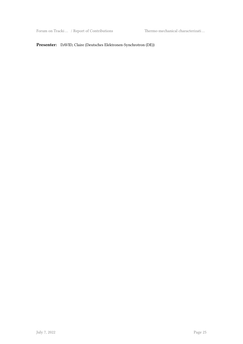Forum on Tracki … / Report of Contributions Thermo-mechanical characterizati …

#### **Presenter:** DAVID, Claire (Deutsches Elektronen-Synchrotron (DE))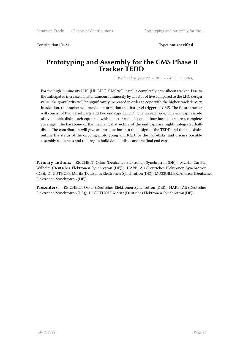Contribution ID: **25** Type: **not specified**

#### **Prototyping and Assembly for the CMS Phase II Tracker TEDD**

*Wednesday, June 27, 2018 1:30 PM (30 minutes)*

For the high-luminosity LHC (HL-LHC), CMS will install a completely new silicon tracker. Due to the anticipated increase in instantaneous luminosity by a factor of five compared to the LHC design value, the granularity will be significantly increased in order to cope with the higher track density. In addition, the tracker will provide information the first level trigger of CMS. The future tracker will consist of two barrel parts and two end caps (TEDD), one on each side. One end cap is made of five double-disks, each equipped with detector modules on all four faces to ensure a complete coverage. The backbone of the mechanical structure of the end caps are highly integrated halfdisks. The contribution will give an introduction into the design of the TEDD and the half-disks, outline the status of the ongoing prototyping and R&D for the half-disks, and discuss possible assembly sequences and toolings to build double-disks and the final end caps.

**Primary authors:** REICHELT, Oskar (Deutsches Elektronen-Synchrotron (DE)); MUHL, Carsten Wilhelm (Deutsches Elektronen-Synchrotron (DE)); HARB, Ali (Deutsches Elektronen-Synchrotron (DE)); Dr GUTHOFF, Moritz (Deutsches Elektronen-Synchrotron (DE)); MUSSGILLER, Andreas (Deutsches Elektronen-Synchrotron (DE))

**Presenters:** REICHELT, Oskar (Deutsches Elektronen-Synchrotron (DE)); HARB, Ali (Deutsches Elektronen-Synchrotron (DE)); Dr GUTHOFF, Moritz (Deutsches Elektronen-Synchrotron (DE))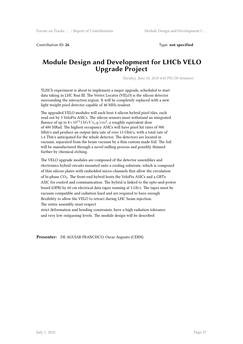Contribution ID: **26** Type: **not specified**

#### **Module Design and Development for LHCb VELO Upgrade Project**

*Tuesday, June 26, 2018 4:45 PM (30 minutes)*

TLHCb experiment is about to implement a major upgrade, scheduled to start data taking in LHC Run III. The Vertex Locator (VELO) is the silicon detector surrounding the interaction region. It will be completely replaced with a new light weight pixel detector capable of 40 MHz readout.

The upgraded VELO modules will each host 4 silicon hybrid pixel tiles, each read out by 3 VeloPix ASICs. The silicon sensors must withstand an integrated fluence of up to  $8\times10^{15}$   $1MeV$   $n_eq/cm^2$ , a roughly equivalent dose of 400 MRad. The highest occupancy ASICs will have pixel hit rates of 900 Mhit/s and produce an output data rate of over 15 Gbit/s, with a total rate of 1.6 Tbit/s anticipated for the whole detector. The detectors are located in vacuum, separated from the beam vacuum by a thin custom made foil. The foil will be manufactured through a novel milling process and possibly thinned further by chemical etching.

The VELO upgrade modules are composed of the detector assemblies and electronics hybrid circuits mounted onto a cooling substrate, which is composed of thin silicon plates with embedded micro-channels that allow the circulation of bi-phase CO<sub>2</sub>. The front-end hybrid hosts the VeloPix ASICs and a GBTx ASIC for control and communication. The hybrid is linked to the opto-and-power board (OPB) by 60 cm electrical data tapes running at 5 Gb/s. The tapes must be vacuum compatible and radiation hard and are required to have enough flexibility to allow the VELO to retract during LHC beam injection. The entire assembly must respect

strict deformation and bending constraints, have a high radiation tolerance and very low outgassing levels. The module design will be described

**Presenter:** DE AGUIAR FRANCISCO, Oscar Augusto (CERN)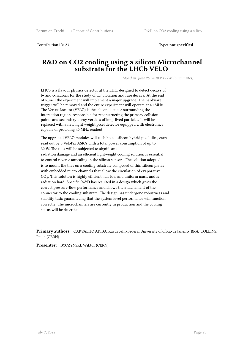Contribution ID: **27** Type: **not specified**

### **R&D on CO2 cooling using a silicon Microchannel substrate for the LHCb VELO**

*Monday, June 25, 2018 2:15 PM (30 minutes)*

LHCb is a flavour physics detector at the LHC, designed to detect decays of b- and c-hadrons for the study of CP violation and rare decays. At the end of Run-II the experiment will implement a major upgrade. The hardware trigger will be removed and the entire experiment will operate at 40 MHz. The Vertex Locator (VELO) is the silicon detector surrounding the interaction region, responsible for reconstructing the primary collision points and secondary decay vertices of long-lived particles. It will be replaced with a new light weight pixel detector equipped with electronics capable of providing 40 MHz readout.

The upgraded VELO modules will each host 4 silicon hybrid pixel tiles, each read out by 3 VeloPix ASICs with a total power consumption of up to 30 W. The tiles will be subjected to significant radiation damage and an efficient lightweight cooling solution is essential to control reverse annealing in the silicon sensors. The solution adopted is to mount the tiles on a cooling substrate composed of thin silicon plates with embedded micro-channels that allow the circulation of evaporative  $CO<sub>2</sub>$ . This solution is highly efficient, has low and uniform mass, and is radiation hard. Specific R/&D has resulted in a design which gives the correct pressure-flow performance and allows the attachement of the connector to the cooling substrate. The design has undergone robustness and stability tests guaranteeing that the system level performance will function correctly. The microchannels are currently in production and the cooling status will be described.

**Primary authors:** CARVALHO AKIBA, Kazuyoshi (Federal University of of Rio de Janeiro (BR)); COLLINS, Paula (CERN)

**Presenter:** BYCZYNSKI, Wiktor (CERN)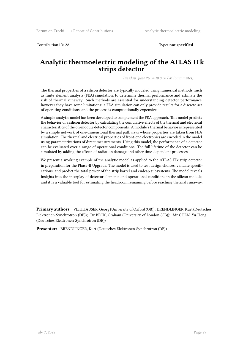Contribution ID: **28** Type: **not specified**

#### **Analytic thermoelectric modeling of the ATLAS ITk strips detector**

*Tuesday, June 26, 2018 3:00 PM (30 minutes)*

The thermal properties of a silicon detector are typically modeled using numerical methods, such as finite element analysis (FEA) simulation, to determine thermal performance and estimate the risk of thermal runaway. Such methods are essential for understanding detector performance, however they have some limitations: a FEA simulation can only provide results for a discrete set of operating conditions, and the process is computationally expensive.

A simple analytic model has been developed to complement the FEA approach. This model predicts the behavior of a silicon detector by calculating the cumulative effects of the thermal and electrical characteristics of the on-module detector components. A module's thermal behavior is represented by a simple network of one-dimensional thermal pathways whose properties are taken from FEA simulation. The thermal and electrical properties of front-end electronics are encoded in the model using parameterizations of direct measurements. Using this model, the performance of a detector can be evaluated over a range of operational conditions. The full lifetime of the detector can be simulated by adding the effects of radiation damage and other time-dependent processes.

We present a working example of the analytic model as applied to the ATLAS ITk strip detector in preparation for the Phase-II Upgrade. The model is used to test design choices, validate specifications, and predict the total power of the strip barrel and endcap subsystems. The model reveals insights into the interplay of detector elements and operational conditions in the silicon module, and it is a valuable tool for estimating the headroom remaining before reaching thermal runaway.

**Primary authors:** VIEHHAUSER, Georg (University of Oxford (GB)); BRENDLINGER, Kurt (Deutsches Elektronen-Synchrotron (DE)); Dr BECK, Graham (University of London (GB)); Mr CHEN, Yu-Heng (Deutsches Elektronen-Synchrotron (DE))

**Presenter:** BRENDLINGER, Kurt (Deutsches Elektronen-Synchrotron (DE))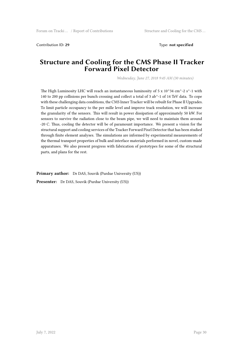Contribution ID: **29** Type: **not specified**

#### **Structure and Cooling for the CMS Phase II Tracker Forward Pixel Detector**

*Wednesday, June 27, 2018 9:45 AM (30 minutes)*

The High Luminosity LHC will reach an instantaneous luminosity of  $5 \times 10^{34}$  cm^-2 s^-1 with 140 to 200 pp collisions per bunch crossing and collect a total of 3 ab^-1 of 14 TeV data. To cope with these challenging data conditions, the CMS Inner Tracker will be rebuilt for Phase II Upgrades. To limit particle occupancy to the per mille level and improve track resolution, we will increase the granularity of the sensors. This will result in power dissipation of approximately 50 kW. For sensors to survive the radiation close to the beam pipe, we will need to maintain them around -20 C. Thus, cooling the detector will be of paramount importance. We present a vision for the structural support and cooling services of the Tracker Forward Pixel Detector that has been studied through finite element analyses. The simulations are informed by experimental measurements of the thermal transport properties of bulk and interface materials performed in novel, custom-made apparatuses. We also present progress with fabrication of prototypes for some of the structural parts, and plans for the rest.

**Primary author:** Dr DAS, Souvik (Purdue University (US))

Presenter: Dr DAS, Souvik (Purdue University (US))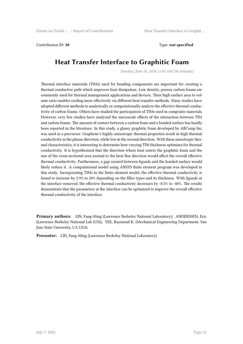Contribution ID: **30** Type: **not specified**

# **Heat Transfer Interface to Graphitic Foam**

*Tuesday, June 26, 2018 11:45 AM (30 minutes)*

Thermal interface materials (TIMs) used for bonding components are important for creating a thermal conductive path which improves heat dissipation. Low density, porous carbon foams are commonly used for thermal management applications and devices. Their high surface area to volume ratio enables cooling more effectively via different heat transfer methods. Many studies have adopted different methods to analytically or computationally analyze the effective thermal conductivity of carbon foams. Others have studied the participation of TIMs used in composite materials. However, very few studies have analyzed the microscale effects of the interaction between TIM and carbon foams. The amount of contact between a carbon foam and a bonded surface has hardly been reported in the literature. In this study, a glassy graphitic foam developed by AllComp Inc. was used as a precursor. Graphene's highly anisotropic thermal properties result in high thermal conductivity in the planar direction, while low in the normal direction. With these anisotropic thermal characteristics, it is interesting to determine how varying TIM thickness optimizes for thermal conductivity. It is hypothesized that the direction where heat enters the graphitic foam and the size of the cross-sectional area normal to the heat flux direction would affect the overall effective thermal conductivity. Furthermore, a gap created between ligands and the bonded surface would likely reduce it. A computational model using ANSYS finite element program was developed in this study. Incorporating TIMs in the finite element model, the effective thermal conductivity is found to increase by 2.9% to 20% depending on the filler types and its thickness. With ligands at the interface removed, the effective thermal conductivity decreases by -8.5% to -40%. The results demonstrate that the parameters at the interface can be optimized to improve the overall effective thermal conductivity of the interface.

**Primary authors:** LIN, Fang-Ming (Lawrence Berkeley National Laboratory); ANDERSSEN, Eric (Lawrence Berkeley National Lab (US)); YEE, Raymond K. (Mechanical Engineering Department, San Jose State University, CA USA)

**Presenter:** LIN, Fang-Ming (Lawrence Berkeley National Laboratory)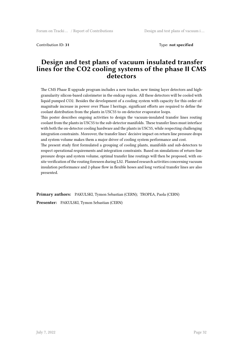Contribution ID: **31** Type: **not specified**

#### **Design and test plans of vacuum insulated transfer lines for the CO2 cooling systems of the phase II CMS detectors**

The CMS Phase II upgrade program includes a new tracker, new timing layer detectors and highgranularity silicon-based calorimeter in the endcap region. All these detectors will be cooled with liquid pumped CO2. Besides the development of a cooling system with capacity for this order-ofmagnitude increase in power over Phase I heritage, significant efforts are required to define the coolant distribution from the plants in USC55 to on-detector evaporator loops.

This poster describes ongoing activities to design the vacuum-insulated transfer lines routing coolant from the plants in USC55 to the sub-detector manifolds. These transfer lines must interface with both the on-detector cooling hardware and the plants in USC55, while respecting challenging integration constraints. Moreover, the transfer lines' decisive impact on return line pressure drops and system volume makes them a major driver of cooling system performance and cost.

The present study first formulated a grouping of cooling plants, manifolds and sub-detectors to respect operational requirements and integration constraints. Based on simulations of return-line pressure drops and system volume, optimal transfer line routings will then be proposed, with onsite verification of the routing foreseen during LS2. Planned research activities concerning vacuum insulation performance and 2-phase flow in flexible hoses and long vertical transfer lines are also presented.

**Primary authors:** PAKULSKI, Tymon Sebastian (CERN); TROPEA, Paola (CERN)

**Presenter:** PAKULSKI, Tymon Sebastian (CERN)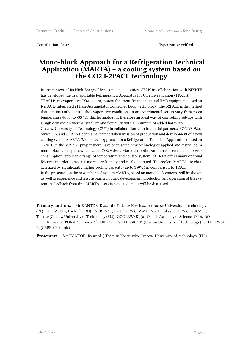Contribution ID: **32** Type: **not specified**

### **Mono-block Approach for a Refrigeration Technical Application (MARTA) – a cooling system based on the CO2 I-2PACL technology**

In the context of its High Energy Physics related activities, CERN in collaboration with NIKHEF has developed the Transportable Refrigeration Apparatus for CO2 Investigation (TRACI). TRACI is an evaporative CO2 cooling system for scientific and industrial R&D equipment based on I-2PACL (Integrated 2 Phase Accumulator Controlled Loop) technology. The I-2PACL is the method that can instantly control the evaporative conditions in an experimental set-up vary from room temperature down to -35 ºC. This technology is therefore an ideal way of controlling set-ups with a high demand on thermal stability and flexibility with a minimum of added hardware. Cracow University of Technology (CUT) in collaboration with industrial partners: PONAR Wadowice S.A. and CEBEA Bochnia have undertaken mission of production and development of a new cooling system MARTA (Monoblock Approach for a Refrigeration Technical Application) based on TRACI. In the MARTA project there have been some new technologies applied and tested, eg. a mono-block concept, new dedicated CO2 valves. Moreover optimization has been made in power consumption, applicable range of temperature and control system. MARTA offers many optional features in order to make it more user friendly and easily operated. The coolers MARTA are characterized by significantly higher cooling capacity (up to 350W) in comparison to TRACI. In the presentation the new enhanced system MARTA, based on monoblock concept will be shown, as well as experience and lessons learned during development, production and operation of the system. A feedback from first MARTA users is expected and it will be discussed.

**Primary authors:** Mr KANTOR, Ryszard ( Tadeusz Kosciuszko Cracow University of technology (PL)); PETAGNA, Paolo (CERN); VERLAAT, Bart (CERN); ZWALINSKI, Lukasz (CERN); KUCZEK, Tomasz (Cracow University of Technology (PL)); GODLEWSKI, Jan (Polish Academy of Sciences (PL)); BO-JDOŁ, Krzysztof (PONAR Silesia S.A.); NIEZGODA-ZELASKO, B. (Cracow University of Technology); STEPLEWSKI, B. (CEBEA Bochnia)

**Presenter:** Mr KANTOR, Ryszard ( Tadeusz Kosciuszko Cracow University of technology (PL))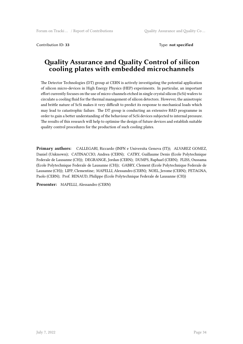Contribution ID: **33** Type: **not specified**

### **Quality Assurance and Quality Control of silicon cooling plates with embedded microchannels**

The Detector Technologies (DT) group at CERN is actively investigating the potential application of silicon micro-devices in High Energy Physics (HEP) experiments. In particular, an important effort currently focuses on the use of micro-channels etched in single crystal silicon (ScSi) wafers to circulate a cooling fluid for the thermal management of silicon detectors. However, the anisotropic and brittle nature of ScSi makes it very difficult to predict its response to mechanical loads which may lead to catastrophic failure. The DT group is conducting an extensive R&D programme in order to gain a better understanding of the behaviour of ScSi devices subjected to internal pressure. The results of this research will help to optimise the design of future devices and establish suitable quality control procedures for the production of such cooling plates.

**Primary authors:** CALLEGARI, Riccardo (INFN e Universita Genova (IT)); ALVAREZ GOMEZ, Daniel (Unknown); CATINACCIO, Andrea (CERN); CATRY, Guillaume Denis (Ecole Polytechnique Federale de Lausanne (CH)); DEGRANGE, Jordan (CERN); DUMPS, Raphael (CERN); FLISS, Oussama (Ecole Polytechnique Federale de Lausanne (CH)); GABRY, Clement (Ecole Polytechnique Federale de Lausanne (CH)); LIPP, Clementine; MAPELLI, Alessandro (CERN); NOEL, Jerome (CERN); PETAGNA, Paolo (CERN); Prof. RENAUD, Philippe (Ecole Polytechnique Federale de Lausanne (CH))

**Presenter:** MAPELLI, Alessandro (CERN)